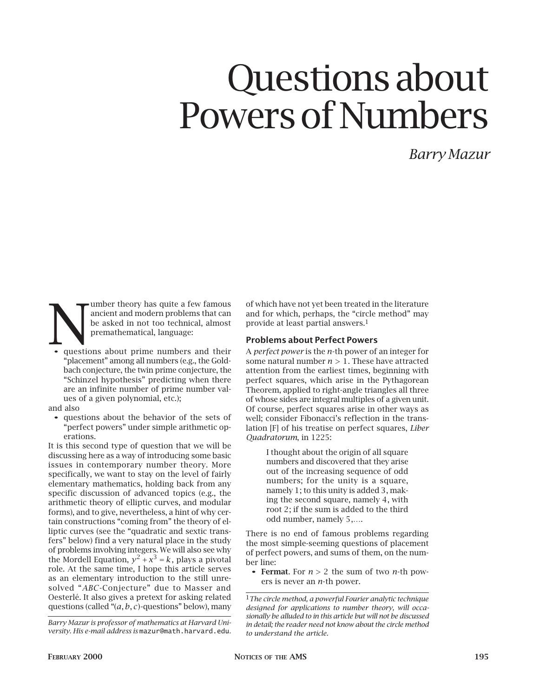# Questions about Powers of Numbers

*Barry Mazur*

Fumber theory has quite a few famous<br>
be asked in not too technical, almost<br>
premathematical, language:<br>
questions about prime numbers and their ancient and modern problems that can be asked in not too technical, almost premathematical, language:

"placement" among all numbers (e.g., the Goldbach conjecture, the twin prime conjecture, the "Schinzel hypothesis" predicting when there are an infinite number of prime number values of a given polynomial, etc.);

#### and also

• questions about the behavior of the sets of "perfect powers" under simple arithmetic operations.

It is this second type of question that we will be discussing here as a way of introducing some basic issues in contemporary number theory. More specifically, we want to stay on the level of fairly elementary mathematics, holding back from any specific discussion of advanced topics (e.g., the arithmetic theory of elliptic curves, and modular forms), and to give, nevertheless, a hint of why certain constructions "coming from" the theory of elliptic curves (see the "quadratic and sextic transfers" below) find a very natural place in the study of problems involving integers. We will also see why the Mordell Equation,  $y^2 + x^3 = k$ , plays a pivotal role. At the same time, I hope this article serves as an elementary introduction to the still unresolved "*ABC*-Conjecture" due to Masser and Oesterlé. It also gives a pretext for asking related questions (called "(*a, b, c*)-questions" below), many

*Barry Mazur is professor of mathematics at Harvard University. His e-mail address is* mazur@math.harvard.edu*.* of which have not yet been treated in the literature and for which, perhaps, the "circle method" may provide at least partial answers.1

# Problems about Perfect Powers

A *perfect power* is the *n*-th power of an integer for some natural number *n >* 1. These have attracted attention from the earliest times, beginning with perfect squares, which arise in the Pythagorean Theorem, applied to right-angle triangles all three of whose sides are integral multiples of a given unit. Of course, perfect squares arise in other ways as well; consider Fibonacci's reflection in the translation [F] of his treatise on perfect squares, *Liber Quadratorum*, in 1225:

I thought about the origin of all square numbers and discovered that they arise out of the increasing sequence of odd numbers; for the unity is a square. namely 1; to this unity is added 3, making the second square, namely 4, with root 2; if the sum is added to the third odd number, namely 5,….

There is no end of famous problems regarding the most simple-seeming questions of placement of perfect powers, and sums of them, on the number line:

• Fermat. For *n >* 2 the sum of two *n*-th powers is never an *n*-th power.

1*The circle method, a powerful Fourier analytic technique designed for applications to number theory, will occasionally be alluded to in this article but will not be discussed in detail; the reader need not know about the circle method to understand the article.*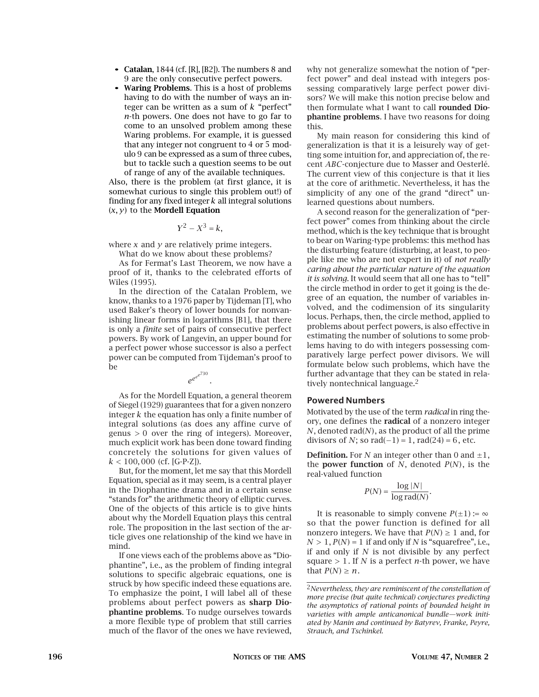- Catalan,  $1844$  (cf. [R], [B2]). The numbers 8 and 9 are the only consecutive perfect powers.
- Waring Problems. This is a host of problems having to do with the number of ways an integer can be written as a sum of *k* "perfect" *n*-th powers. One does not have to go far to come to an unsolved problem among these Waring problems. For example, it is guessed that any integer not congruent to 4 or 5 modulo 9 can be expressed as a sum of three cubes, but to tackle such a question seems to be out of range of any of the available techniques.

Also, there is the problem (at first glance, it is somewhat curious to single this problem out!) of finding for any fixed integer *k* all integral solutions  $(x, y)$  to the **Mordell Equation** 

$$
Y^2 - X^3 = k,
$$

where *x* and *y* are relatively prime integers. What do we know about these problems?

As for Fermat's Last Theorem, we now have a proof of it, thanks to the celebrated efforts of Wiles (1995).

In the direction of the Catalan Problem, we know, thanks to a 1976 paper by Tijdeman [T], who used Baker's theory of lower bounds for nonvanishing linear forms in logarithms [B1], that there is only a *finite* set of pairs of consecutive perfect powers. By work of Langevin, an upper bound for a perfect power whose successor is also a perfect power can be computed from Tijdeman's proof to be

As for the Mordell Equation, a general theorem of Siegel (1929) guarantees that for a given nonzero integer *k* the equation has only a finite number of integral solutions (as does any affine curve of genus *>* 0 over the ring of integers). Moreover, much explicit work has been done toward finding concretely the solutions for given values of *k <* 100*,* 000 (cf. [G-P-Z]).

 $e^{e^{e^c}}$ *.*

But, for the moment, let me say that this Mordell Equation, special as it may seem, is a central player in the Diophantine drama and in a certain sense "stands for" the arithmetic theory of elliptic curves. One of the objects of this article is to give hints about why the Mordell Equation plays this central role. The proposition in the last section of the article gives one relationship of the kind we have in mind.

If one views each of the problems above as "Diophantine", i.e., as the problem of finding integral solutions to specific algebraic equations, one is struck by how specific indeed these equations are. To emphasize the point, I will label all of these problems about perfect powers as sharp Diophantine problems. To nudge ourselves towards a more flexible type of problem that still carries much of the flavor of the ones we have reviewed,

why not generalize somewhat the notion of "perfect power" and deal instead with integers possessing comparatively large perfect power divisors? We will make this notion precise below and then formulate what I want to call rounded Diophantine problems. I have two reasons for doing this.

My main reason for considering this kind of generalization is that it is a leisurely way of getting some intuition for, and appreciation of, the recent *ABC*-conjecture due to Masser and Oesterlé. The current view of this conjecture is that it lies at the core of arithmetic. Nevertheless, it has the simplicity of any one of the grand "direct" unlearned questions about numbers.

A second reason for the generalization of "perfect power" comes from thinking about the circle method, which is the key technique that is brought to bear on Waring-type problems: this method has the disturbing feature (disturbing, at least, to people like me who are not expert in it) of *not really caring about the particular nature of the equation it is solving*. It would seem that all one has to "tell" the circle method in order to get it going is the degree of an equation, the number of variables involved, and the codimension of its singularity locus. Perhaps, then, the circle method, applied to problems about perfect powers, is also effective in estimating the number of solutions to some problems having to do with integers possessing comparatively large perfect power divisors. We will formulate below such problems, which have the further advantage that they can be stated in relatively nontechnical language.2

# Powered Numbers

Motivated by the use of the term *radical* in ring theory, one defines the radical of a nonzero integer *N*, denoted rad(*N*), as the product of all the prime divisors of *N*; so rad(−1) = 1, rad(24) = 6, etc.

**Definition.** For *N* an integer other than 0 and  $\pm 1$ , the **power function** of *N*, denoted  $P(N)$ , is the real-valued function

$$
P(N) = \frac{\log |N|}{\log \text{rad}(N)}.
$$

It is reasonable to simply convene  $P(\pm 1) := \infty$ so that the power function is defined for all nonzero integers. We have that  $P(N) \geq 1$  and, for  $N > 1$ ,  $P(N) = 1$  if and only if *N* is "squarefree", i.e., if and only if *N* is not divisible by any perfect square  $> 1$ . If *N* is a perfect *n*-th power, we have that  $P(N) \geq n$ .

<sup>2</sup>*Nevertheless, they are reminiscent of the constellation of more precise (but quite technical) conjectures predicting the asymptotics of rational points of bounded height in varieties with ample anticanonical bundle—work initiated by Manin and continued by Batyrev, Franke, Peyre, Strauch, and Tschinkel.*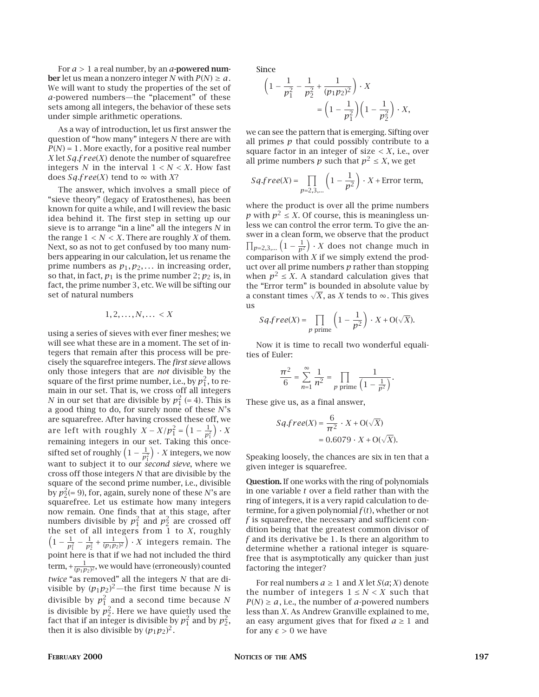For *a >* 1 a real number, by an *a*-powered num**ber** let us mean a nonzero integer *N* with  $P(N) \ge a$ . We will want to study the properties of the set of *a*-powered numbers—the "placement" of these sets among all integers, the behavior of these sets under simple arithmetic operations.

As a way of introduction, let us first answer the question of "how many" integers *N* there are with  $P(N) = 1$ . More exactly, for a positive real number *X* let *Sq.f r ee*(*X*) denote the number of squarefree integers *N* in the interval  $1 < N < X$ . How fast does  $Sq$ *free*(*X*) tend to  $\infty$  with *X*?

The answer, which involves a small piece of "sieve theory" (legacy of Eratosthenes), has been known for quite a while, and I will review the basic idea behind it. The first step in setting up our sieve is to arrange "in a line" all the integers *N* in the range  $1 < N < X$ . There are roughly *X* of them. Next, so as not to get confused by too many numbers appearing in our calculation, let us rename the prime numbers as  $p_1, p_2, \ldots$  in increasing order, so that, in fact,  $p_1$  is the prime number 2;  $p_2$  is, in fact, the prime number 3, etc. We will be sifting our set of natural numbers

$$
1, 2, \ldots, N, \ldots < X
$$

using a series of sieves with ever finer meshes; we will see what these are in a moment. The set of integers that remain after this process will be precisely the squarefree integers. The *first sieve* allows only those integers that are *not* divisible by the square of the first prime number, i.e., by  $p_{1}^{2}$ , to remain in our set. That is, we cross off all integers *N* in our set that are divisible by  $p_1^2$  (= 4). This is a good thing to do, for surely none of these *N*'s are squarefree. After having crossed these off, we are left with roughly  $X - X/p_1^2 = \left(1 - \frac{1}{p_1^2}\right)$  $\int$   $\cdot X$ remaining integers in our set. Taking this oncesifted set of roughly  $\left(1 - \frac{1}{p_1^2}\right)$  $\big) \cdot X$  integers, we now want to subject it to our *second sieve*, where we cross off those integers *N* that are divisible by the square of the second prime number, i.e., divisible by  $p_2^2(=9)$ , for, again, surely none of these *N*'s are squarefree. Let us estimate how many integers now remain. One finds that at this stage, after numbers divisible by  $p_1^2$  and  $p_2^2$  are crossed off the set of all integers from 1 to *X*, roughly  $\left(1 - \frac{1}{p_1^2} - \frac{1}{p_2^2} + \frac{1}{(p_1 p_2)^2}\right) \cdot X$  integers remain. The  $\hat{y}$   $\cdot$  *X* integers remain. The point here is that if we had not included the third term,  $+\frac{1}{(p_1p_2)^2}$ , we would have (erroneously) counted *twice* "as removed" all the integers *N* that are divisible by  $(p_1p_2)^2$ —the first time because *N* is divisible by  $p_1^2$  and a second time because  $N$ is divisible by  $p_2^2$ . Here we have quietly used the fact that if an integer is divisible by  $p_1^2$  and by  $p_2^2$ , then it is also divisible by  $(p_1p_2)^2$ .

Since

$$
\left(1 - \frac{1}{p_1^2} - \frac{1}{p_2^2} + \frac{1}{(p_1 p_2)^2}\right) \cdot X
$$

$$
= \left(1 - \frac{1}{p_1^2}\right) \left(1 - \frac{1}{p_2^2}\right) \cdot X,
$$

we can see the pattern that is emerging. Sifting over all primes  $p$  that could possibly contribute to a square factor in an integer of size  $\langle X, i.e., over$ all prime numbers *p* such that  $p^2 \le X$ , we get

$$
Sq\text{-}free(X) = \prod_{p=2,3,\dots} \left(1 - \frac{1}{p^2}\right) \cdot X + \text{Error term},
$$

where the product is over all the prime numbers *p* with  $p^2 \leq X$ . Of course, this is meaningless unless we can control the error term. To give the answer in a clean form, we observe that the product  $\prod_{p=2,3,...} \left(1 - \frac{1}{p^2}\right) \cdot X$  does not change much in comparison with *X* if we simply extend the product over all prime numbers *p* rather than stopping when  $p^2 \leq X$ . A standard calculation gives that the "Error term" is bounded in absolute value by a constant times  $\sqrt{X}$ , as *X* tends to  $\infty$ . This gives us

$$
Sq\text{-}free(X) = \prod_{p \text{ prime}} \left(1 - \frac{1}{p^2}\right) \cdot X + \text{O}(\sqrt{X}).
$$

Now it is time to recall two wonderful equalities of Euler:

$$
\frac{\pi^2}{6} = \sum_{n=1}^{\infty} \frac{1}{n^2} = \prod_{p \text{ prime}} \frac{1}{\left(1 - \frac{1}{p^2}\right)}.
$$

These give us, as a final answer,

$$
Sq.free(X) = \frac{6}{\pi^2} \cdot X + O(\sqrt{X})
$$
  
= 0.6079 \cdot X + O(\sqrt{X}).

Speaking loosely, the chances are six in ten that a given integer is squarefree.

Question. If one works with the ring of polynomials in one variable *t* over a field rather than with the ring of integers, it is a very rapid calculation to determine, for a given polynomial *f* (*t*), whether or not *f* is squarefree, the necessary and sufficient condition being that the greatest common divisor of *f* and its derivative be 1. Is there an algorithm to determine whether a rational integer is squarefree that is asymptotically any quicker than just factoring the integer?

For real numbers  $a \geq 1$  and *X* let  $S(a; X)$  denote the number of integers  $1 \leq N \leq X$  such that  $P(N) \ge a$ , i.e., the number of *a*-powered numbers less than *X*. As Andrew Granville explained to me, an easy argument gives that for fixed  $a \geq 1$  and for any  $\epsilon$  > 0 we have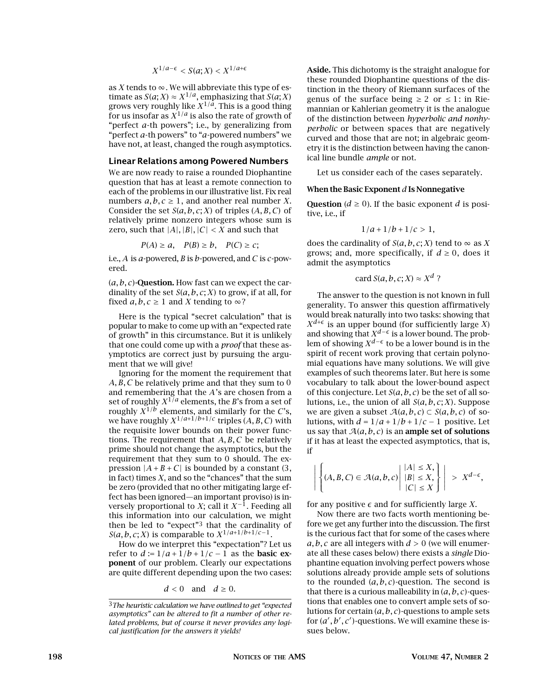$$
X^{1/a-\epsilon} < S(a;X) < X^{1/a+\epsilon}
$$

as  $X$  tends to  $\infty$ . We will abbreviate this type of estimate as  $S(a; X) \approx X^{1/a}$ , emphasizing that  $S(a; X)$ grows very roughly like  $X^{1/a}$ . This is a good thing for us insofar as  $\chi^{1/a}$  is also the rate of growth of "perfect *a*-th powers"; i.e., by generalizing from "perfect *a*-th powers" to "*a*-powered numbers" we have not, at least, changed the rough asymptotics.

#### Linear Relations among Powered Numbers

We are now ready to raise a rounded Diophantine question that has at least a remote connection to each of the problems in our illustrative list. Fix real numbers  $a, b, c \geq 1$ , and another real number *X*. Consider the set *S*(*a, b, c*; *X*) of triples (*A, B, C*) of relatively prime nonzero integers whose sum is zero, such that  $|A|$ ,  $|B|$ ,  $|C|$  < *X* and such that

$$
P(A) \ge a, \quad P(B) \ge b, \quad P(C) \ge c;
$$

i.e., *A* is *a*-powered, *B* is *b*-powered, and *C* is *c*-powered.

 $(a, b, c)$ -Question. How fast can we expect the cardinality of the set *S*(*a, b, c*; *X*) to grow, if at all, for fixed  $a, b, c \ge 1$  and *X* tending to  $\infty$ ?

Here is the typical "secret calculation" that is popular to make to come up with an "expected rate of growth" in this circumstance. But it is unlikely that one could come up with a *proof* that these asymptotics are correct just by pursuing the argument that we will give!

Ignoring for the moment the requirement that *A, B, C* be relatively prime and that they sum to 0 and remembering that the *A*'s are chosen from a set of roughly  $X^{1/a}$  elements, the *B*'s from a set of roughly  $\overline{X}^{1/b}$  elements, and similarly for the *C*'s, we have roughly  $X^{1/a+1/b+1/c}$  triples  $(A, B, C)$  with the requisite lower bounds on their power functions. The requirement that *A, B, C* be relatively prime should not change the asymptotics, but the requirement that they sum to 0 should. The expression  $|A + B + C|$  is bounded by a constant (3, in fact) times *X*, and so the "chances" that the sum be zero (provided that no other mitigating large effect has been ignored—an important proviso) is inversely proportional to *X*; call it  $X^{-1}$ . Feeding all this information into our calculation, we might then be led to "expect"3 that the cardinality of *S*(*a*, *b*, *c*; *X*) is comparable to  $X^{1/a+1/b+1/c-1}$ .

How do we interpret this "expectation"? Let us refer to  $d := 1/a + 1/b + 1/c - 1$  as the **basic ex**ponent of our problem. Clearly our expectations are quite different depending upon the two cases:

 $d < 0$  and  $d \ge 0$ .

Aside. This dichotomy is the straight analogue for these rounded Diophantine questions of the distinction in the theory of Riemann surfaces of the genus of the surface being  $\geq 2$  or  $\leq 1$ : in Riemannian or Kahlerian geometry it is the analogue of the distinction between *hyperbolic and nonhyperbolic* or between spaces that are negatively curved and those that are not; in algebraic geometry it is the distinction between having the canonical line bundle *ample* or not.

Let us consider each of the cases separately.

#### When the Basic Exponent *d* Is Nonnegative

Question ( $d \ge 0$ ). If the basic exponent *d* is positive, i.e., if

$$
1/a+1/b+1/c>1,
$$

does the cardinality of  $S(a, b, c; X)$  tend to  $\infty$  as X grows; and, more specifically, if  $d \geq 0$ , does it admit the asymptotics

card 
$$
S(a, b, c; X) \approx X^d
$$
 ?

The answer to the question is not known in full generality. To answer this question affirmatively would break naturally into two tasks: showing that  $X^{d+\epsilon}$  is an upper bound (for sufficiently large *X*) and showing that  $X^{d-\epsilon}$  is a lower bound. The problem of showing  $X^{d-\epsilon}$  to be a lower bound is in the spirit of recent work proving that certain polynomial equations have many solutions. We will give examples of such theorems later. But here is some vocabulary to talk about the lower-bound aspect of this conjecture. Let *S*(*a, b, c*) be the set of all solutions, i.e., the union of all *S*(*a, b, c*; *X*). Suppose we are given a subset  $A(a, b, c) \subset S(a, b, c)$  of solutions, with  $d = 1/a + 1/b + 1/c - 1$  positive. Let us say that  $A(a, b, c)$  is an ample set of solutions if it has at least the expected asymptotics, that is, if

$$
\left| \left\{ (A, B, C) \in \mathcal{A}(a, b, c) \middle| \begin{aligned} |A| &\leq X, \\ |B| &\leq X, \\ |C| &\leq X \end{aligned} \right\} \right| > X^{d-\epsilon},
$$

for any positive  $\epsilon$  and for sufficiently large *X*.

Now there are two facts worth mentioning before we get any further into the discussion. The first is the curious fact that for some of the cases where  $a, b, c$  are all integers with  $d > 0$  (we will enumerate all these cases below) there exists a *single* Diophantine equation involving perfect powers whose solutions already provide ample sets of solutions to the rounded (*a, b, c*)-question. The second is that there is a curious malleability in (*a, b, c*)-questions that enables one to convert ample sets of solutions for certain (*a, b, c*)-questions to ample sets for  $(a', b', c')$ -questions. We will examine these issues below.

<sup>3</sup>*The heuristic calculation we have outlined to get "expected asymptotics" can be altered to fit a number of other related problems, but of course it never provides any logical justification for the answers it yields!*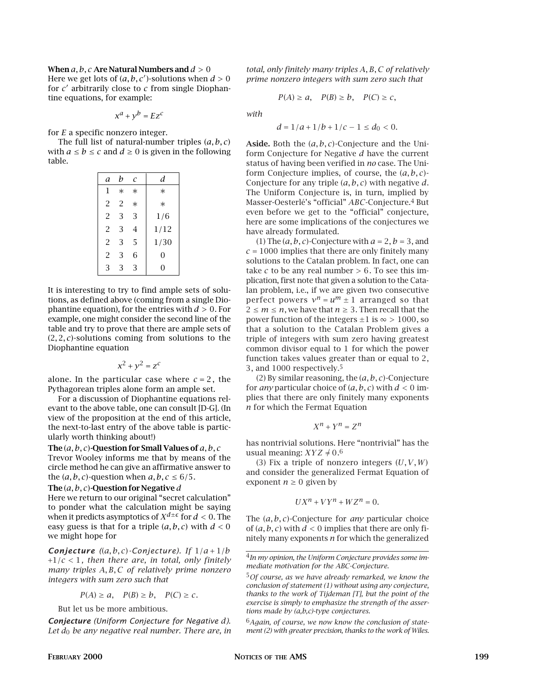When *a, b, c* Are Natural Numbers and *d >* 0 Here we get lots of  $(a, b, c')$ -solutions when  $d > 0$ for *c*) arbitrarily close to *c* from single Diophantine equations, for example:

$$
x^a + y^b = Ez^c
$$

for *E* a specific nonzero integer.

The full list of natural-number triples (*a, b, c*) with  $a \le b \le c$  and  $d \ge 0$  is given in the following table.

| a              | h              | C      | d      |
|----------------|----------------|--------|--------|
| 1              | $\ast$         | $\ast$ | $\ast$ |
| $\overline{2}$ | $\overline{2}$ | $\ast$ | $\ast$ |
| $\overline{2}$ | 3              | 3      | 1/6    |
| $\overline{2}$ | 3              | 4      | 1/12   |
| $\overline{2}$ | 3              | 5      | 1/30   |
| $\overline{2}$ | 3              | 6      | 0      |
| 3              | 3              | 3      | 0      |

It is interesting to try to find ample sets of solutions, as defined above (coming from a single Diophantine equation), for the entries with *d >* 0. For example, one might consider the second line of the table and try to prove that there are ample sets of (2*,* 2*, c*)-solutions coming from solutions to the Diophantine equation

$$
x^2 + y^2 = z^c
$$

alone. In the particular case where  $c = 2$ , the Pythagorean triples alone form an ample set.

For a discussion of Diophantine equations relevant to the above table, one can consult [D-G]. (In view of the proposition at the end of this article, the next-to-last entry of the above table is particularly worth thinking about!)

The (*a, b, c*)-Question for Small Values of *a, b, c* Trevor Wooley informs me that by means of the circle method he can give an affirmative answer to the  $(a, b, c)$ -question when  $a, b, c \leq 6/5$ .

# The (*a, b, c*)-Question for Negative *d*

Here we return to our original "secret calculation" to ponder what the calculation might be saying when it predicts asymptotics of  $X^{d\pm\epsilon}$  for  $d < 0$ . The easy guess is that for a triple (*a, b, c*) with *d <* 0 we might hope for

*Conjecture*  $((a, b, c)$ *-Conjecture*)*.* If  $1/a + 1/b$ +1*/c <* 1*, then there are, in total, only finitely many triples A, B, C of relatively prime nonzero integers with sum zero such that*

$$
P(A) \ge a
$$
,  $P(B) \ge b$ ,  $P(C) \ge c$ .

But let us be more ambitious.

*Conjecture (Uniform Conjecture for Negative d)*. *Let d*0 *be any negative real number. There are, in* *total, only finitely many triples A, B, C of relatively prime nonzero integers with sum zero such that*

$$
P(A) \ge a
$$
,  $P(B) \ge b$ ,  $P(C) \ge c$ ,

*with*

$$
d = 1/a + 1/b + 1/c - 1 \le d_0 < 0.
$$

Aside. Both the (*a, b, c*)-Conjecture and the Uniform Conjecture for Negative *d* have the current status of having been verified in *no* case. The Uniform Conjecture implies, of course, the (*a, b, c*)- Conjecture for any triple (*a, b, c*) with negative *d*. The Uniform Conjecture is, in turn, implied by Masser-Oesterlé's "official" *ABC*-Conjecture.4 But even before we get to the "official" conjecture, here are some implications of the conjectures we have already formulated.

(1) The  $(a, b, c)$ -Conjecture with  $a = 2$ ,  $b = 3$ , and  $c = 1000$  implies that there are only finitely many solutions to the Catalan problem. In fact, one can take  $c$  to be any real number  $> 6$ . To see this implication, first note that given a solution to the Catalan problem, i.e., if we are given two consecutive perfect powers  $v^n = u^m \pm 1$  arranged so that  $2 \le m \le n$ , we have that  $n \ge 3$ . Then recall that the power function of the integers  $\pm 1$  is  $\infty > 1000$ , so that a solution to the Catalan Problem gives a triple of integers with sum zero having greatest common divisor equal to 1 for which the power function takes values greater than or equal to 2, 3, and 1000 respectively.5

(2) By similar reasoning, the (*a, b, c*)-Conjecture for *any* particular choice of  $(a, b, c)$  with  $d < 0$  implies that there are only finitely many exponents *n* for which the Fermat Equation

$$
X^n + Y^n = Z^n
$$

has nontrivial solutions. Here "nontrivial" has the usual meaning:  $XYZ \neq 0.6$ 

(3) Fix a triple of nonzero integers (*U,V,W*) and consider the generalized Fermat Equation of exponent  $n \geq 0$  given by

$$
UX^n + VY^n + WZ^n = 0.
$$

The (*a, b, c*)-Conjecture for *any* particular choice of  $(a, b, c)$  with  $d < 0$  implies that there are only finitely many exponents *n* for which the generalized

<sup>4</sup>*In my opinion, the Uniform Conjecture provides some immediate motivation for the ABC-Conjecture.*

<sup>5</sup>*Of course, as we have already remarked, we know the conclusion of statement (1) without using any conjecture, thanks to the work of Tijdeman [T], but the point of the exercise is simply to emphasize the strength of the assertions made by (a,b,c)-type conjectures.*

<sup>6</sup>*Again, of course, we now know the conclusion of statement (2) with greater precision, thanks to the work of Wiles.*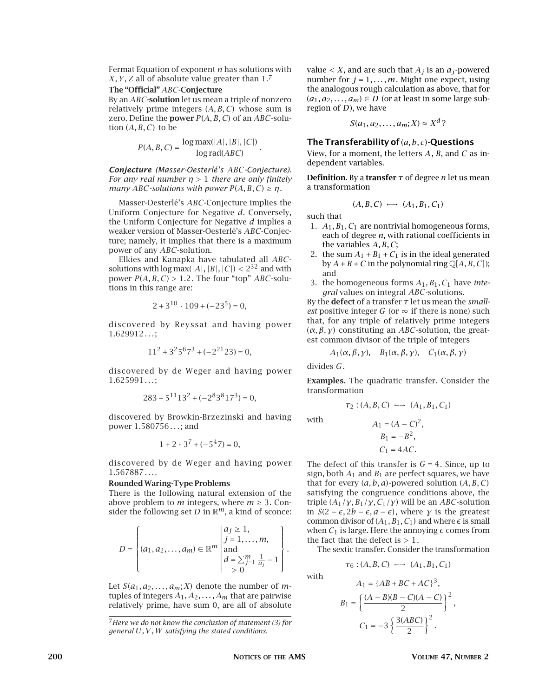Fermat Equation of exponent *n* has solutions with *X,Y,Z* all of absolute value greater than 1.7

#### The "Official" *ABC*-Conjecture

By an *ABC*-solution let us mean a triple of nonzero relatively prime integers (*A, B, C*) whose sum is zero. Define the power *P*(*A, B, C*) of an *ABC*-solution  $(A, B, C)$  to be

$$
P(A, B, C) = \frac{\log \max(|A|, |B|, |C|)}{\log \text{rad}(ABC)}.
$$

*Conjecture (Masser-Oesterlé's ABC-Conjecture)*. *For any real number η >* 1 *there are only finitely many ABC-solutions with power*  $P(A, B, C) \geq n$ *.* 

Masser-Oesterlé's *ABC*-Conjecture implies the Uniform Conjecture for Negative *d*. Conversely, the Uniform Conjecture for Negative *d* implies a weaker version of Masser-Oesterlé's *ABC*-Conjecture; namely, it implies that there is a maximum power of any *ABC*-solution.

Elkies and Kanapka have tabulated all *ABC*solutions with  $\log \max(|A|, |B|, |C|) < 2^{32}$  and with power  $P(A, B, C) > 1.2$ . The four "top" *ABC*-solutions in this range are:

$$
2 + 3^{10} \cdot 109 + (-23^5) = 0,
$$

discovered by Reyssat and having power 1*.*629912*...*;

$$
11^2 + 3^2 5^6 7^3 + (-2^{21} 23) = 0,
$$

discovered by de Weger and having power 1*.*625991*...*;

$$
283 + 5^{11}13^2 + (-2^83^817^3) = 0,
$$

discovered by Browkin-Brzezinski and having power 1*.*580756*...*; and

$$
1 + 2 \cdot 3^7 + (-5^4 7) = 0,
$$

discovered by de Weger and having power 1*.*567887*...*.

## Rounded Waring-Type Problems

There is the following natural extension of the above problem to  $m$  integers, where  $m \geq 3$ . Consider the following set *D* in  $\mathbb{R}^m$ , a kind of sconce:

$$
D = \left\{ (a_1, a_2, ..., a_m) \in \mathbb{R}^m \, \middle| \, \begin{aligned} a_j &\geq 1, \\ j &= 1, ..., m, \\ \text{and} \\ d &= \sum_{j=1}^m \frac{1}{a_j} - 1 \\ &&> 0 \end{aligned} \right\}.
$$

Let  $S(a_1, a_2, \ldots, a_m; X)$  denote the number of *m*tuples of integers *A*1*, A*2*,...,Am* that are pairwise relatively prime, have sum 0, are all of absolute value  $\lt X$ , and are such that  $A_i$  is an  $a_i$ -powered number for  $j = 1, \ldots, m$ . Might one expect, using the analogous rough calculation as above, that for  $(a_1, a_2, \ldots, a_m) \in D$  (or at least in some large subregion of *D*), we have

$$
S(a_1, a_2, \ldots, a_m; X) \approx X^d
$$
?

## The Transferability of (*a, b, c*)-Questions

View, for a moment, the letters *A*, *B*, and *C* as independent variables.

Definition. By a transfer *τ* of degree *n* let us mean a transformation

$$
(A,B,C)\;\longmapsto\;(A_1,B_1,C_1)
$$

such that

- 1. *A*1*, B*1*, C*1 are nontrivial homogeneous forms, each of degree *n*, with rational coefficients in the variables *A, B, C*;
- 2. the sum  $A_1 + B_1 + C_1$  is in the ideal generated by  $A + B + C$  in the polynomial ring  $\mathbb{Q}[A, B, C]$ ; and
- 3. the homogeneous forms *A*1*, B*1*, C*1 have *integral* values on integral *ABC*-solutions.

By the defect of a transfer *τ* let us mean the *smallest* positive integer *G* (or  $\infty$  if there is none) such that, for any triple of relatively prime integers (*α,β,γ*) constituting an *ABC*-solution, the greatest common divisor of the triple of integers

$$
A_1(\alpha, \beta, \gamma), \quad B_1(\alpha, \beta, \gamma), \quad C_1(\alpha, \beta, \gamma)
$$

divides *G*.

Examples. The quadratic transfer. Consider the transformation

$$
\tau_2: (A, B, C) \longrightarrow (A_1, B_1, C_1)
$$

with

with  
\n
$$
A_1 = (A - C)^2,
$$
\n
$$
B_1 = -B^2,
$$
\n
$$
C_1 = 4AC.
$$

The defect of this transfer is  $G = 4$ . Since, up to sign, both  $A_1$  and  $B_1$  are perfect squares, we have that for every (*a, b, a*)-powered solution (*A, B, C*) satisfying the congruence conditions above, the triple  $(A_1/\gamma, B_1/\gamma, C_1/\gamma)$  will be an *ABC*-solution in *S*(2 −  $\epsilon$ , 2*b* −  $\epsilon$ , *a* −  $\epsilon$ ), where *γ* is the greatest common divisor of  $(A_1, B_1, C_1)$  and where  $\epsilon$  is small when  $C_1$  is large. Here the annoying  $\epsilon$  comes from the fact that the defect is *>* 1.

The sextic transfer. Consider the transformation

$$
\tau_6: (A, B, C) \longrightarrow (A_1, B_1, C_1)
$$

$$
A_1 = \{AB + BC + AC\}^3,
$$
  
\n
$$
B_1 = \left\{\frac{(A - B)(B - C)(A - C)}{2}\right\}^2,
$$
  
\n
$$
C_1 = -3\left\{\frac{3(ABC)}{2}\right\}^2.
$$

*<sup>.</sup>* <sup>7</sup>*Here we do not know the conclusion of statement (3) for general U,V,W satisfying the stated conditions.*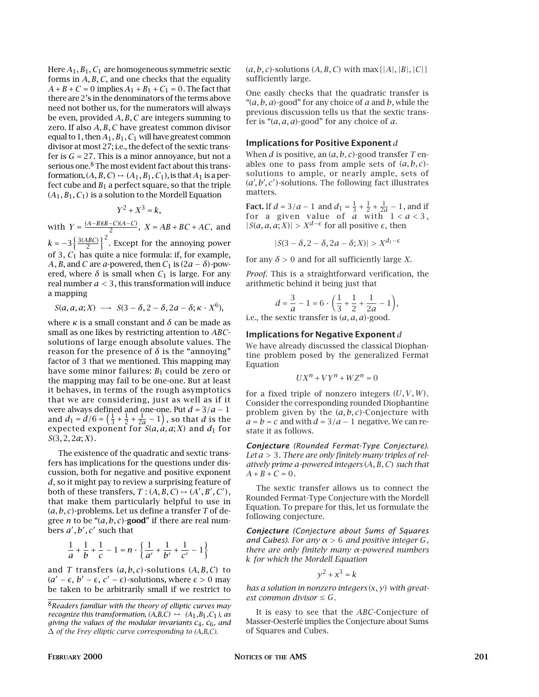Here *A*1*, B*1*, C*1 are homogeneous symmetric sextic forms in *A, B, C*, and one checks that the equality  $A + B + C = 0$  implies  $A_1 + B_1 + C_1 = 0$ . The fact that there are 2's in the denominators of the terms above need not bother us, for the numerators will always be even, provided *A, B, C* are integers summing to zero. If also *A, B, C* have greatest common divisor equal to 1, then *A*1*, B*1*, C*<sup>1</sup> will have greatest common divisor at most 27; i.e., the defect of the sextic transfer is  $G = 27$ . This is a minor annoyance, but not a serious one.8 The most evident fact about this transformation,  $(A, B, C) \rightarrow (A_1, B_1, C_1)$ , is that  $A_1$  is a perfect cube and  $B_1$  a perfect square, so that the triple (*A*1*, B*1*, C*1) is a solution to the Mordell Equation

$$
Y^2 + X^3 = k,
$$

with *Y* =  $\frac{(A-B)(B-C)(A-C)}{2}$ , *X* = *AB* + *BC* + *AC*, and

 $k = -3\left\{\frac{3(ABC)}{2}\right\}^2$ . Except for the annoying power of 3, *C*<sup>1</sup> has quite a nice formula: if, for example, *A*, *B*, and *C* are *a*-powered, then  $C_1$  is  $(2a - \delta)$ -powered, where  $\delta$  is small when  $C_1$  is large. For any real number *a <* 3, this transformation will induce a mapping

$$
S(a, a, a; X) \longrightarrow S(3 - \delta, 2 - \delta, 2a - \delta; \kappa \cdot X^6),
$$

where  $\kappa$  is a small constant and  $\delta$  can be made as small as one likes by restricting attention to *ABC*solutions of large enough absolute values. The reason for the presence of  $\delta$  is the "annoying" factor of 3 that we mentioned. This mapping may have some minor failures: *B*1 could be zero or the mapping may fail to be one-one. But at least it behaves, in terms of the rough asymptotics that we are considering, just as well as if it were always defined and one-one. Put *d* = 3/*a* − 1<br>and *d*<sub>1</sub> = *d*/6 =  $(\frac{1}{3} + \frac{1}{2} + \frac{1}{2a} - 1)$ , so that *d* is the expected exponent for  $S(a, a, a; X)$  and  $d_1$  for *S*(3*,* 2*,* 2*a*; *X*).

The existence of the quadratic and sextic transfers has implications for the questions under discussion, both for negative and positive exponent *d*, so it might pay to review a surprising feature of both of these transfers,  $T$  :  $(A, B, C) \rightarrow (A', B', C')$ , that make them particularly helpful to use in (*a, b, c*)-problems. Let us define a transfer *T* of degree *n* to be " $(a, b, c)$ -good" if there are real numbers *a*)*, b*)*, c*) such that

$$
\frac{1}{a} + \frac{1}{b} + \frac{1}{c} - 1 = n \cdot \left\{ \frac{1}{a'} + \frac{1}{b'} + \frac{1}{c'} - 1 \right\}
$$

and *T* transfers (*a, b, c*)-solutions (*A, B, C*) to  $(a' - \epsilon, b' - \epsilon, c' - \epsilon)$ -solutions, where  $\epsilon > 0$  may be taken to be arbitrarily small if we restrict to (*a, b, c*)-solutions (*A, B, C*) with max*{|A|,|B|,|C|}* sufficiently large.

One easily checks that the quadratic transfer is "(*a, b, a*)-good" for any choice of *a* and *b*, while the previous discussion tells us that the sextic transfer is "(*a, a, a*)-good" for any choice of *a*.

# Implications for Positive Exponent *d*

When *d* is positive, an (*a, b, c*)-good transfer *T* enables one to pass from ample sets of  $(a, b, c)$ solutions to ample, or nearly ample, sets of (*a', b', c'*)-solutions. The following fact illustrates matters.

**Fact.** If  $d = 3/a - 1$  and  $d_1 = \frac{1}{3} + \frac{1}{2} + \frac{1}{2a} - 1$ , and if for a given value of *a* with 1 *<a<* 3 ,  $|S(a, a, a; X)| > X^{d-\epsilon}$  for all positive  $\epsilon$ , then

$$
|S(3-\delta,2-\delta,2a-\delta;X)| > X^{d_1-\epsilon}
$$

for any  $\delta > 0$  and for all sufficiently large *X*.

*Proof.* This is a straightforward verification, the arithmetic behind it being just that

$$
d = \frac{3}{a} - 1 = 6 \cdot \left(\frac{1}{3} + \frac{1}{2} + \frac{1}{2a} - 1\right),
$$

i.e., the sextic transfer is (*a, a, a*)-good.

## Implications for Negative Exponent *d*

We have already discussed the classical Diophantine problem posed by the generalized Fermat Equation

$$
UX^n + VY^n + WZ^n = 0
$$

for a fixed triple of nonzero integers (*U,V,W*). Consider the corresponding rounded Diophantine problem given by the (*a, b, c*)-Conjecture with  $a = b = c$  and with  $d = 3/a - 1$  negative. We can restate it as follows.

*Conjecture (Rounded Fermat-Type Conjecture). Let a >* 3. *There are only finitely many triples of relatively prime a-powered integers* (*A, B, C*) *such that*  $A + B + C = 0$ .

The sextic transfer allows us to connect the Rounded Fermat-Type Conjecture with the Mordell Equation. To prepare for this, let us formulate the following conjecture.

*Conjecture (Conjecture about Sums of Squares and Cubes)*. *For any α >* 6 *and positive integer G, there are only finitely many α-powered numbers k for which the Mordell Equation*

$$
y^2 + x^3 = k
$$

*has a solution in nonzero integers* (*x, y*) *with greatest common divisor*  $\le$   $G$ *.* 

It is easy to see that the *ABC*-Conjecture of Masser-Oesterlé implies the Conjecture about Sums of Squares and Cubes.

<sup>8</sup>*Readers familiar with the theory of elliptic curves may recognize this transformation,*  $(A,B,C) \rightarrow (A_1,B_1,C_1)$ *, as giving the values of the modular invariants c*4*, c*6*, and* ∆ *of the Frey elliptic curve corresponding to (A,B,C).*